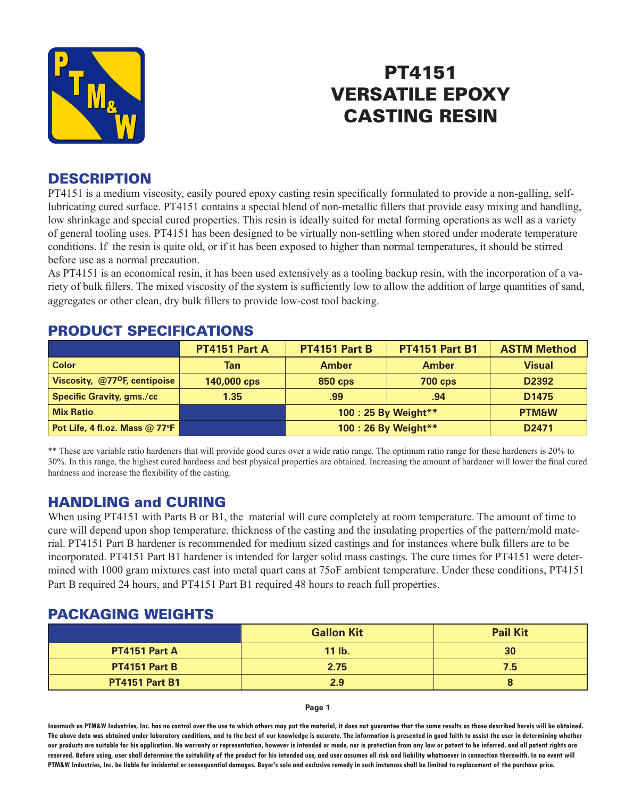

# PT4151 VERSATILE EPOXY CASTING RESIN

### **DESCRIPTION**

PT4151 is a medium viscosity, easily poured epoxy casting resin specifically formulated to provide a non-galling, selflubricating cured surface. PT4151 contains a special blend of non-metallic fillers that provide easy mixing and handling, low shrinkage and special cured properties. This resin is ideally suited for metal forming operations as well as a variety of general tooling uses. PT4151 has been designed to be virtually non-settling when stored under moderate temperature conditions. If the resin is quite old, or if it has been exposed to higher than normal temperatures, it should be stirred before use as a normal precaution.

As PT4151 is an economical resin, it has been used extensively as a tooling backup resin, with the incorporation of a variety of bulk fillers. The mixed viscosity of the system is sufficiently low to allow the addition of large quantities of sand, aggregates or other clean, dry bulk fillers to provide low-cost tool backing.

|                                           | <b>PT4151 Part A</b> | PT4151 Part B        | <b>PT4151 Part B1</b> | <b>ASTM Method</b> |
|-------------------------------------------|----------------------|----------------------|-----------------------|--------------------|
| <b>Color</b>                              | <b>Tan</b>           | <b>Amber</b>         | <b>Amber</b>          | <b>Visual</b>      |
| Viscosity, @77 <sup>o</sup> F, centipoise | 140,000 cps          | <b>850 cps</b>       | <b>700 cps</b>        | D2392              |
| <b>Specific Gravity, gms./cc</b>          | 1.35                 | .99                  | .94                   | D <sub>1475</sub>  |
| <b>Mix Ratio</b>                          |                      | 100 : 25 By Weight** |                       | <b>PTM&amp;W</b>   |
| Pot Life, 4 fl.oz. Mass @ 77°F            |                      | 100 : 26 By Weight** |                       | D <sub>2471</sub>  |

#### PRODUCT SPECIFICATIONS

\*\* These are variable ratio hardeners that will provide good cures over a wide ratio range. The optimum ratio range for these hardeners is 20% to 30%. In this range, the highest cured hardness and best physical properties are obtained. Increasing the amount of hardener will lower the final cured hardness and increase the flexibility of the casting.

## HANDLING and CURING

When using PT4151 with Parts B or B1, the material will cure completely at room temperature. The amount of time to cure will depend upon shop temperature, thickness of the casting and the insulating properties of the pattern/mold material. PT4151 Part B hardener is recommended for medium sized castings and for instances where bulk fillers are to be incorporated. PT4151 Part B1 hardener is intended for larger solid mass castings. The cure times for PT4151 were determined with 1000 gram mixtures cast into metal quart cans at 75oF ambient temperature. Under these conditions, PT4151 Part B required 24 hours, and PT4151 Part B1 required 48 hours to reach full properties.

### PACKAGING WEIGHTS

|                       | <b>Gallon Kit</b> | <b>Pail Kit</b> |
|-----------------------|-------------------|-----------------|
| PT4151 Part A         | $11$ lb.          | 30              |
| <b>PT4151 Part B</b>  | 2.75              | 7.5             |
| <b>PT4151 Part B1</b> | 2.9               | О               |

**Page 1**

**Inasmuch as PTM&W Industries, Inc. has no control over the use to which others may put the material, it does not guarantee that the same results as those described hereis will be obtained. The above data was obtained under laboratory conditions, and to the best of our knowledge is accurate. The information is presented in good faith to assist the user in determining whether our products are suitable for his application. No warranty or representation, however is intended or made, nor is protection from any law or patent to be inferred, and all patent rights are**  reserved. Before using, user shall determine the suitability of the product for his intended use, and user assumes all risk and liability whatsoever in connection therewith. In no event will **PTM&W Industries, Inc. be liable for incidental or consequential damages. Buyer's sole and exclusive remedy in such instances shall be limited to replacement of the purchase price.**